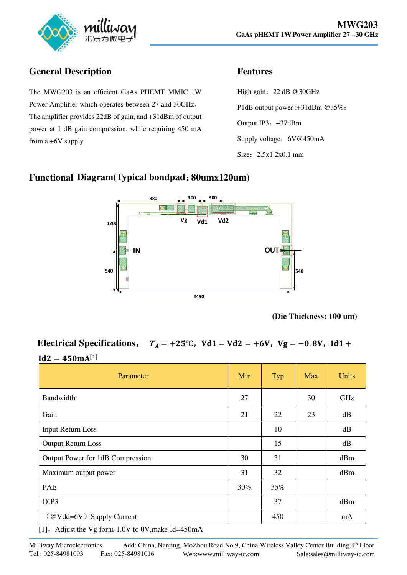

# **General Description**

The MWG203 is an efficient GaAs PHEMT MMIC 1W Power Amplifier which operates between 27 and 30GHz, The amplifier provides 22dB of gain, and +31dBm of output power at 1 dB gain compression. while requiring 450 mA from a +6V supply.

## **Features**

High gain:22 dB @30GHz P1dB output power :+31dBm @35%; Output IP3: +37dBm Supply voltage: 6V@450mA Size: 2.5x1.2x0.1 mm

#### **Functional Diagram(Typical bondpad**:**80umx120um)**



**<sup>(</sup>Die Thickness: 100 um)** 

## **Electrical Specifications,**  $T_A = +25^\circ \text{C}$ ,  $Vd1 = Vd2 = +6V$ ,  $Vg = -0.8V$ ,  $Id1 +$  $Id2 = 450mA^{[1]}$

| Parameter                                                                                | Min | Typ | <b>Max</b> | <b>Units</b> |
|------------------------------------------------------------------------------------------|-----|-----|------------|--------------|
| Bandwidth                                                                                | 27  |     | 30         | GHz          |
| Gain                                                                                     | 21  | 22  | 23         | dB           |
| <b>Input Return Loss</b>                                                                 |     | 10  |            | dB           |
| <b>Output Return Loss</b>                                                                |     | 15  |            | dB           |
| Output Power for 1dB Compression                                                         | 30  | 31  |            | dBm          |
| Maximum output power                                                                     | 31  | 32  |            | dBm          |
| <b>PAE</b>                                                                               | 30% | 35% |            |              |
| OIP3                                                                                     |     | 37  |            | dBm          |
| (@Vdd=6V) Supply Current<br>$F11 = k1!$ and $ST$ $C = 1.037$ and $S7 = 1.71$ and $k = 1$ |     | 450 |            | mA           |

[1], Adjust the Vg form-1.0V to 0V, make Id=450mA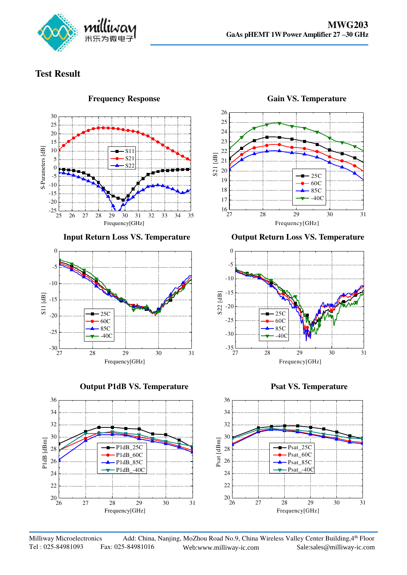

## **Test Result**











**Input Return Loss VS. Temperature Output Return Loss VS. Temperature** 

Frequency[GHz]





Milliway Microelectronics Add: China, Nanjing, MoZhou Road No.9, China Wireless Valley Center Building, 4th Floor<br>Tel: 025-84981093 Fax: 025-84981016 Web:www.milliway-ic.com Sale:sales@milliway-ic.com Fax: 025-84981016 Web:www.milliway-ic.com Sale:sales@milliway-ic.com